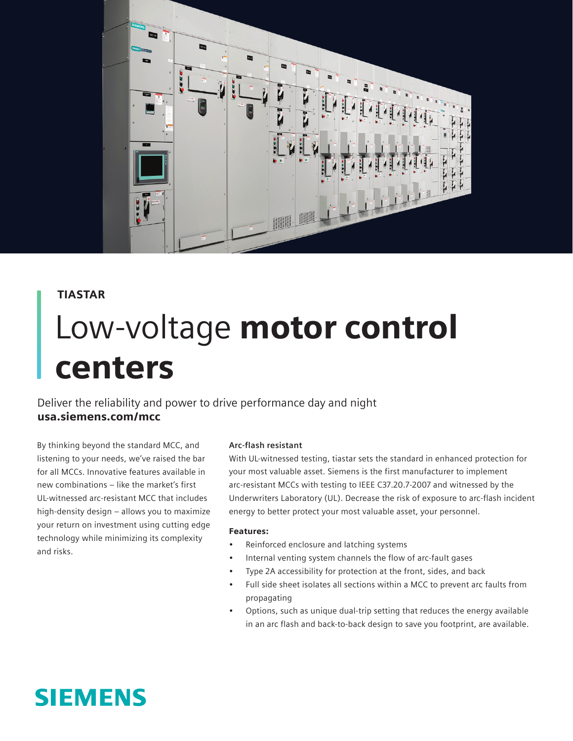

## TIASTAR

# Low-voltage motor control centers

Deliver the reliability and power to drive performance day and night usa.siemens.com/mcc

By thinking beyond the standard MCC, and listening to your needs, we've raised the bar for all MCCs. Innovative features available in new combinations – like the market's first UL-witnessed arc-resistant MCC that includes high-density design – allows you to maximize your return on investment using cutting edge technology while minimizing its complexity and risks.

### **Arc-flash resistant**

With UL-witnessed testing, tiastar sets the standard in enhanced protection for your most valuable asset. Siemens is the first manufacturer to implement arc-resistant MCCs with testing to IEEE C37.20.7-2007 and witnessed by the Underwriters Laboratory (UL). Decrease the risk of exposure to arc-flash incident energy to better protect your most valuable asset, your personnel.

#### Features:

- Reinforced enclosure and latching systems
- Internal venting system channels the flow of arc-fault gases
- Type 2A accessibility for protection at the front, sides, and back
- Full side sheet isolates all sections within a MCC to prevent arc faults from propagating
- Options, such as unique dual-trip setting that reduces the energy available in an arc flash and back-to-back design to save you footprint, are available.

# **SIEMENS**